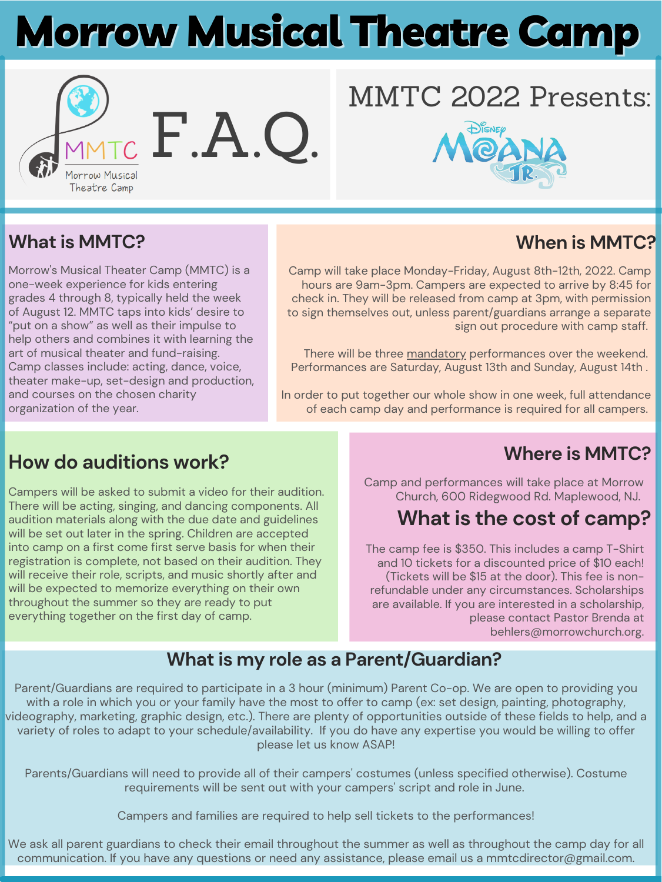#### **When is MMTC?**

Camp will take place Monday-Friday, August 8th-12th, 2022. Camp hours are 9am-3pm. Campers are expected to arrive by 8:45 for check in. They will be released from camp at 3pm, with permission to sign themselves out, unless parent/guardians arrange a separate sign out procedure with camp staff.

There will be three mandatory performances over the weekend. Performances are Saturday, August 13th and Sunday, August 14th .

In order to put together our whole show in one week, full attendance of each camp day and performance is required for all campers.

#### **What is my role as a Parent/Guardian?**

Parent/Guardians are required to participate in a 3 hour (minimum) Parent Co-op. We are open to providing you with a role in which you or your family have the most to offer to camp (ex: set design, painting, photography, videography, marketing, graphic design, etc.). There are plenty of opportunities outside of these fields to help, and a variety of roles to adapt to your schedule/availability. If you do have any expertise you would be willing to offer please let us know ASAP!

Morrow<sup>'</sup> s Musical Theater Camp (MMTC) is a one-week experience for kids entering grades 4 through 8, typically held the week of August 12. MMTC taps into kids' desire to "put on a show" as well as their impulse to help others and combines it with learning the art of musical theater and fund-raising. Camp classes include: acting, dance, voice, theater make-up, set-design and production, and courses on the chosen charity organization of the year.

Parents/Guardians will need to provide all of their campers ' costumes (unless specified otherwise). Costume requirements will be sent out with your campers 'script and role in June.

Campers and families are required to help sell tickets to the performances!

We ask all parent guardians to check their email throughout the summer as well as throughout the camp day for all communication. If you have any questions or need any assistance, please email us a mmtcdirector@gmail.com.

## MMTC 2022 Presents:



#### **What is MMTC?**

#### **How do auditions work?**

Campers will be asked to submit a video for their audition. There will be acting, singing, and dancing components. All audition materials along with the due date and guidelines will be set out later in the spring. Children are accepted into camp on a first come first serve basis for when their registration is complete, not based on their audition. They will receive their role, scripts, and music shortly after and will be expected to memorize everything on their own throughout the summer so they are ready to put everything together on the first day of camp.

#### **Where is MMTC?**

Camp and performances will take place at Morrow Church, 600 Ridegwood Rd. Maplewood, NJ.

### **What is the cost of camp?**

The camp fee is \$350. This includes a camp T-Shirt and 10 tickets for a discounted price of \$10 each! (Tickets will be \$15 at the door). This fee is nonrefundable under any circumstances. Scholarships are available. If you are interested in a scholarship, please contact Pastor Brenda at behlers@morrowchurch.org.

# Morrow Musical Theatre Camp